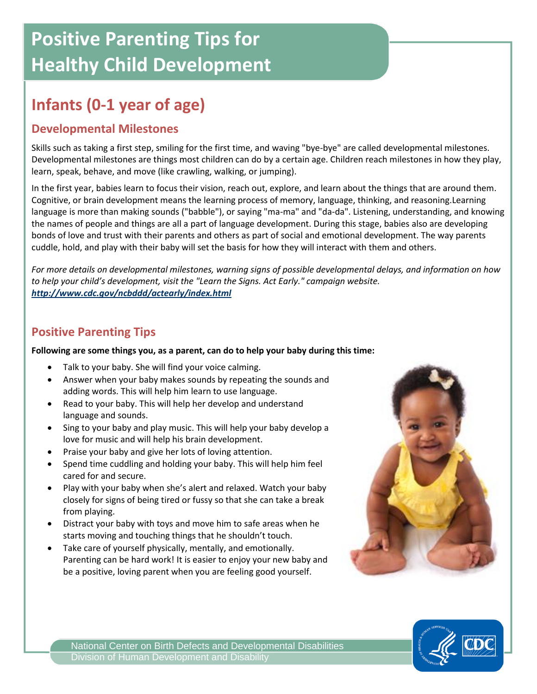# **Positive Parenting Tips for Healthy Child Development**

## **Infants (0-1 year of age)**

#### **Developmental Milestones**

Skills such as taking a first step, smiling for the first time, and waving "bye-bye" are called developmental milestones. Developmental milestones are things most children can do by a certain age. Children reach milestones in how they play, learn, speak, behave, and move (like crawling, walking, or jumping).

In the first year, babies learn to focus their vision, reach out, explore, and learn about the things that are around them. Cognitive, or brain development means the learning process of memory, language, thinking, and reasoning.Learning language is more than making sounds ("babble"), or saying "ma-ma" and "da-da". Listening, understanding, and knowing the names of people and things are all a part of language development. During this stage, babies also are developing bonds of love and trust with their parents and others as part of social and emotional development. The way parents cuddle, hold, and play with their baby will set the basis for how they will interact with them and others.

*For more details on developmental milestones, warning signs of possible developmental delays, and information on how to help your child's development, visit the "Learn the Signs. Act Early." campaign website. <http://www.cdc.gov/ncbddd/actearly/index.html>*

#### **Positive Parenting Tips**

**Following are some things you, as a parent, can do to help your baby during this time:**

- Talk to your baby. She will find your voice calming.
- Answer when your baby makes sounds by repeating the sounds and adding words. This will help him learn to use language.
- Read to your baby. This will help her develop and understand language and sounds.
- Sing to your baby and play music. This will help your baby develop a love for music and will help his brain development.
- Praise your baby and give her lots of loving attention.
- Spend time cuddling and holding your baby. This will help him feel cared for and secure.
- Play with your baby when she's alert and relaxed. Watch your baby closely for signs of being tired or fussy so that she can take a break from playing.
- Distract your baby with toys and move him to safe areas when he starts moving and touching things that he shouldn't touch.
- Take care of yourself physically, mentally, and emotionally. Parenting can be hard work! It is easier to enjoy your new baby and be a positive, loving parent when you are feeling good yourself.